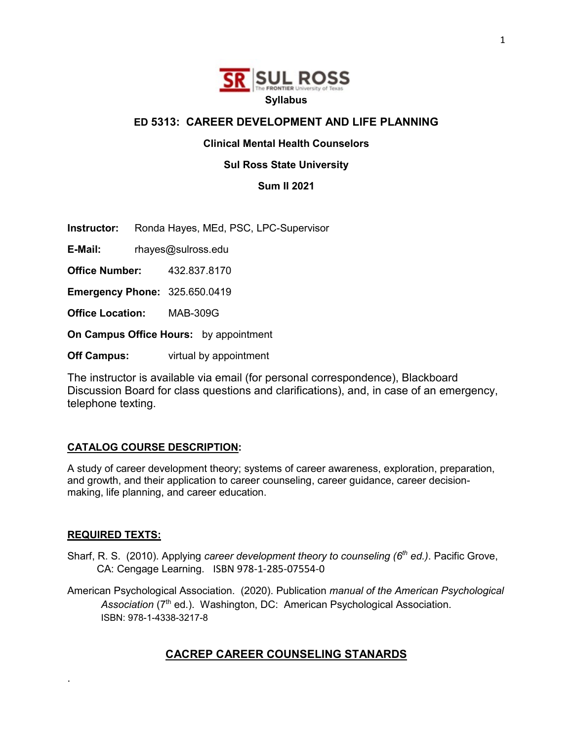

#### **ED 5313: CAREER DEVELOPMENT AND LIFE PLANNING**

#### **Clinical Mental Health Counselors**

#### **Sul Ross State University**

**Sum II 2021**

**Instructor:** Ronda Hayes, MEd, PSC, LPC-Supervisor

**E-Mail:** rhayes@sulross.edu

**Office Number:** 432.837.8170

**Emergency Phone:** 325.650.0419

**Office Location:** MAB-309G

**On Campus Office Hours:** by appointment

**Off Campus:** virtual by appointment

The instructor is available via email (for personal correspondence), Blackboard Discussion Board for class questions and clarifications), and, in case of an emergency, telephone texting.

#### **CATALOG COURSE DESCRIPTION:**

A study of career development theory; systems of career awareness, exploration, preparation, and growth, and their application to career counseling, career guidance, career decisionmaking, life planning, and career education.

#### **REQUIRED TEXTS:**

.

- Sharf, R. S. (2010). Applying *career development theory to counseling (6th ed.)*. Pacific Grove, CA: Cengage Learning. ISBN 978-1-285-07554-0
- American Psychological Association. (2020). Publication *manual of the American Psychological*  Association (7<sup>th</sup> ed.). Washington, DC: American Psychological Association. ISBN: 978-1-4338-3217-8

## **CACREP CAREER COUNSELING STANARDS**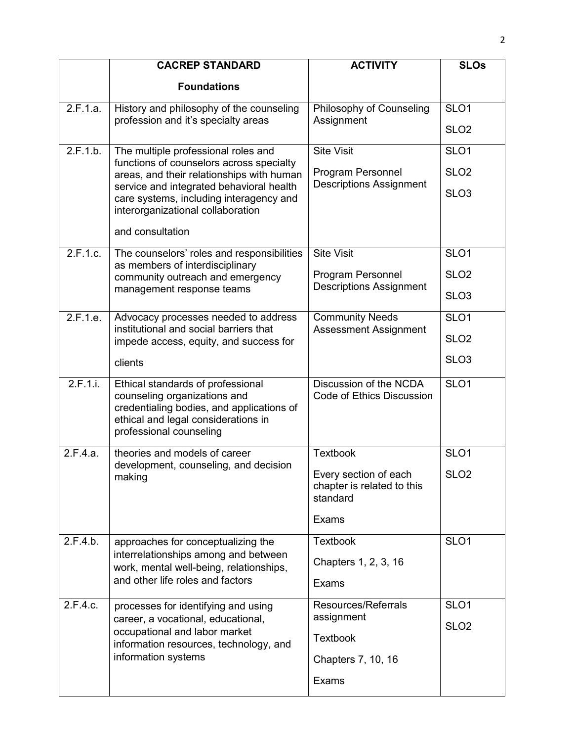|          | <b>CACREP STANDARD</b>                                                                                                                                                           | <b>ACTIVITY</b>                                                 | <b>SLOs</b>      |
|----------|----------------------------------------------------------------------------------------------------------------------------------------------------------------------------------|-----------------------------------------------------------------|------------------|
|          | <b>Foundations</b>                                                                                                                                                               |                                                                 |                  |
| 2.F.1.a. | History and philosophy of the counseling                                                                                                                                         | Philosophy of Counseling                                        | SLO <sub>1</sub> |
|          | profession and it's specialty areas                                                                                                                                              | Assignment                                                      | SLO <sub>2</sub> |
| 2.F.1.b. | The multiple professional roles and<br>functions of counselors across specialty                                                                                                  | <b>Site Visit</b>                                               | SLO <sub>1</sub> |
|          | areas, and their relationships with human                                                                                                                                        | Program Personnel                                               | SLO <sub>2</sub> |
|          | service and integrated behavioral health<br>care systems, including interagency and<br>interorganizational collaboration                                                         | <b>Descriptions Assignment</b>                                  | SLO <sub>3</sub> |
|          | and consultation                                                                                                                                                                 |                                                                 |                  |
| 2.F.1.c. | The counselors' roles and responsibilities                                                                                                                                       | <b>Site Visit</b>                                               | SLO <sub>1</sub> |
|          | as members of interdisciplinary<br>community outreach and emergency                                                                                                              | Program Personnel                                               | SLO <sub>2</sub> |
|          | management response teams                                                                                                                                                        | <b>Descriptions Assignment</b>                                  | SLO <sub>3</sub> |
| 2.F.1.e. | Advocacy processes needed to address<br>institutional and social barriers that                                                                                                   | <b>Community Needs</b><br><b>Assessment Assignment</b>          | SL <sub>01</sub> |
|          | impede access, equity, and success for                                                                                                                                           |                                                                 | SLO <sub>2</sub> |
|          | clients                                                                                                                                                                          |                                                                 | SLO <sub>3</sub> |
| 2.F.1.i. | Ethical standards of professional<br>counseling organizations and<br>credentialing bodies, and applications of<br>ethical and legal considerations in<br>professional counseling | Discussion of the NCDA<br><b>Code of Ethics Discussion</b>      | SLO <sub>1</sub> |
| 2.F.4.a. | theories and models of career                                                                                                                                                    | <b>Textbook</b>                                                 | SLO <sub>1</sub> |
|          | development, counseling, and decision<br>making                                                                                                                                  | Every section of each<br>chapter is related to this<br>standard | SLO <sub>2</sub> |
|          |                                                                                                                                                                                  | Exams                                                           |                  |
| 2.F.4.b. | approaches for conceptualizing the                                                                                                                                               | <b>Textbook</b>                                                 | SLO <sub>1</sub> |
|          | interrelationships among and between<br>work, mental well-being, relationships,                                                                                                  | Chapters 1, 2, 3, 16                                            |                  |
|          | and other life roles and factors                                                                                                                                                 | <b>Exams</b>                                                    |                  |
| 2.F.4.c. | processes for identifying and using                                                                                                                                              | Resources/Referrals                                             | SLO <sub>1</sub> |
|          | career, a vocational, educational,<br>occupational and labor market                                                                                                              | assignment                                                      | SLO <sub>2</sub> |
|          | information resources, technology, and                                                                                                                                           | <b>Textbook</b>                                                 |                  |
|          | information systems                                                                                                                                                              | Chapters 7, 10, 16                                              |                  |
|          |                                                                                                                                                                                  | <b>Exams</b>                                                    |                  |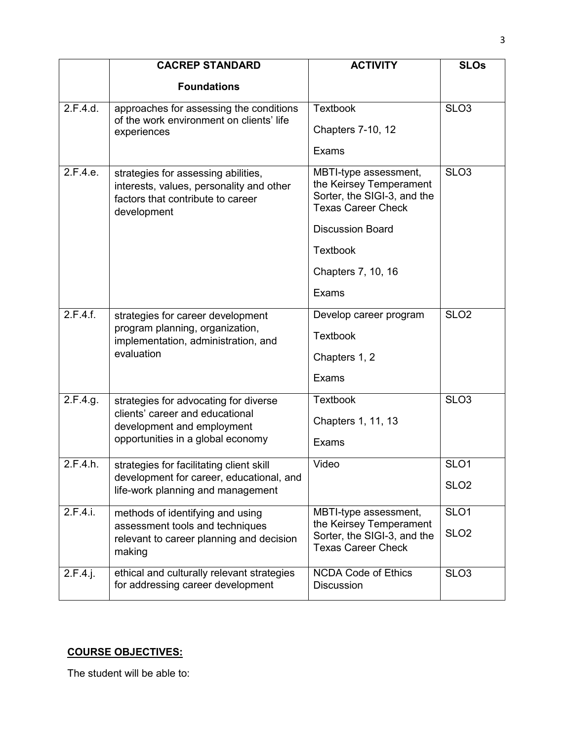|             | <b>CACREP STANDARD</b>                                                                                                              | <b>ACTIVITY</b>                                                                                              | <b>SLOs</b>      |  |
|-------------|-------------------------------------------------------------------------------------------------------------------------------------|--------------------------------------------------------------------------------------------------------------|------------------|--|
|             | <b>Foundations</b>                                                                                                                  |                                                                                                              |                  |  |
| 2.F.4.d.    | approaches for assessing the conditions<br>of the work environment on clients' life<br>experiences                                  | <b>Textbook</b>                                                                                              | SLO <sub>3</sub> |  |
|             |                                                                                                                                     | <b>Chapters 7-10, 12</b>                                                                                     |                  |  |
|             |                                                                                                                                     | Exams                                                                                                        |                  |  |
| 2.F.4.e.    | strategies for assessing abilities,<br>interests, values, personality and other<br>factors that contribute to career<br>development | MBTI-type assessment,<br>the Keirsey Temperament<br>Sorter, the SIGI-3, and the<br><b>Texas Career Check</b> | SLO <sub>3</sub> |  |
|             |                                                                                                                                     | <b>Discussion Board</b>                                                                                      |                  |  |
|             |                                                                                                                                     | <b>Textbook</b>                                                                                              |                  |  |
|             |                                                                                                                                     | Chapters 7, 10, 16                                                                                           |                  |  |
|             |                                                                                                                                     | Exams                                                                                                        |                  |  |
| 2.F.4.f.    | strategies for career development<br>program planning, organization,<br>implementation, administration, and<br>evaluation           | Develop career program                                                                                       | SLO <sub>2</sub> |  |
|             |                                                                                                                                     | <b>Textbook</b>                                                                                              |                  |  |
|             |                                                                                                                                     | Chapters 1, 2                                                                                                |                  |  |
|             |                                                                                                                                     | Exams                                                                                                        |                  |  |
| 2.F.4.g.    | strategies for advocating for diverse                                                                                               | <b>Textbook</b>                                                                                              | SLO <sub>3</sub> |  |
|             | clients' career and educational<br>development and employment                                                                       | Chapters 1, 11, 13                                                                                           |                  |  |
|             | opportunities in a global economy                                                                                                   | Exams                                                                                                        |                  |  |
| 2.F.4.h.    | strategies for facilitating client skill                                                                                            | Video                                                                                                        | SLO <sub>1</sub> |  |
|             | development for career, educational, and<br>life-work planning and management                                                       |                                                                                                              | SLO <sub>2</sub> |  |
| 2.F.4.i.    | methods of identifying and using                                                                                                    | MBTI-type assessment,                                                                                        | SLO <sub>1</sub> |  |
|             | assessment tools and techniques<br>relevant to career planning and decision<br>making                                               | the Keirsey Temperament<br>Sorter, the SIGI-3, and the<br><b>Texas Career Check</b>                          | SLO <sub>2</sub> |  |
| $2.F.4.$ j. | ethical and culturally relevant strategies<br>for addressing career development                                                     | <b>NCDA Code of Ethics</b><br><b>Discussion</b>                                                              | SLO <sub>3</sub> |  |

# **COURSE OBJECTIVES:**

The student will be able to: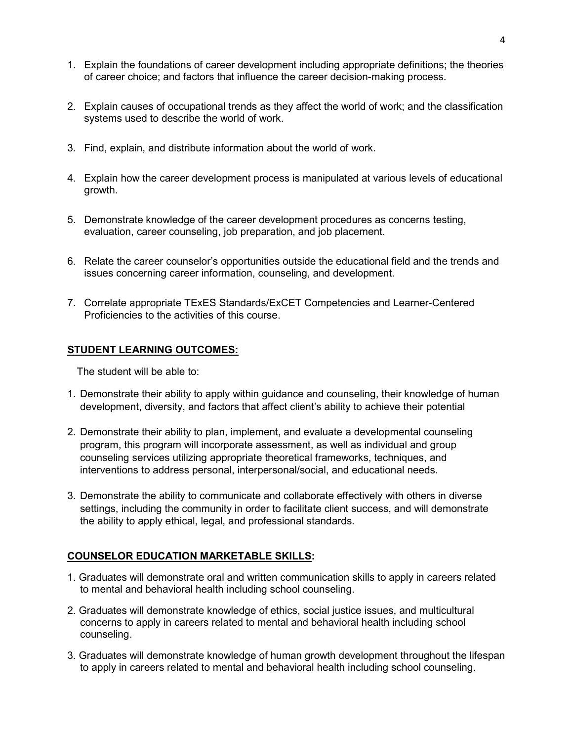- 1. Explain the foundations of career development including appropriate definitions; the theories of career choice; and factors that influence the career decision-making process.
- 2. Explain causes of occupational trends as they affect the world of work; and the classification systems used to describe the world of work.
- 3. Find, explain, and distribute information about the world of work.
- 4. Explain how the career development process is manipulated at various levels of educational growth.
- 5. Demonstrate knowledge of the career development procedures as concerns testing, evaluation, career counseling, job preparation, and job placement.
- 6. Relate the career counselor's opportunities outside the educational field and the trends and issues concerning career information, counseling, and development.
- 7. Correlate appropriate TExES Standards/ExCET Competencies and Learner-Centered Proficiencies to the activities of this course.

#### **STUDENT LEARNING OUTCOMES:**

The student will be able to:

- 1. Demonstrate their ability to apply within guidance and counseling, their knowledge of human development, diversity, and factors that affect client's ability to achieve their potential
- 2. Demonstrate their ability to plan, implement, and evaluate a developmental counseling program, this program will incorporate assessment, as well as individual and group counseling services utilizing appropriate theoretical frameworks, techniques, and interventions to address personal, interpersonal/social, and educational needs.
- 3. Demonstrate the ability to communicate and collaborate effectively with others in diverse settings, including the community in order to facilitate client success, and will demonstrate the ability to apply ethical, legal, and professional standards.

#### **COUNSELOR EDUCATION MARKETABLE SKILLS:**

- 1. Graduates will demonstrate oral and written communication skills to apply in careers related to mental and behavioral health including school counseling.
- 2. Graduates will demonstrate knowledge of ethics, social justice issues, and multicultural concerns to apply in careers related to mental and behavioral health including school counseling.
- 3. Graduates will demonstrate knowledge of human growth development throughout the lifespan to apply in careers related to mental and behavioral health including school counseling.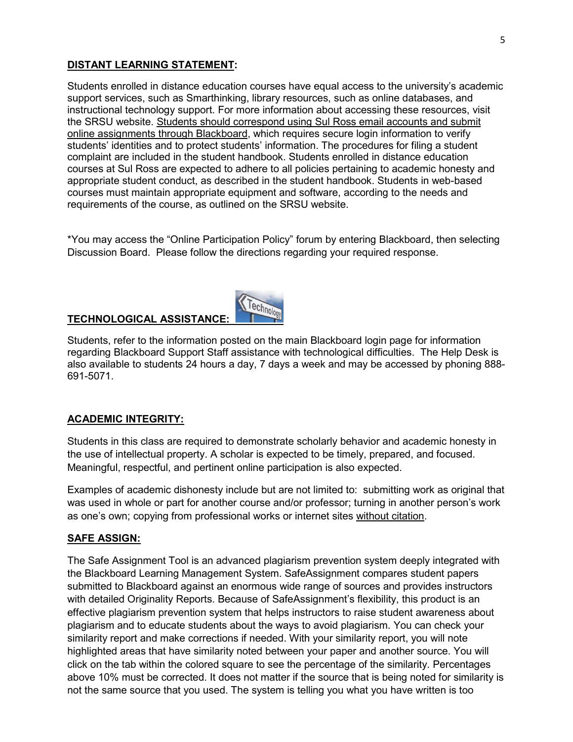#### **DISTANT LEARNING STATEMENT:**

Students enrolled in distance education courses have equal access to the university's academic support services, such as Smarthinking, library resources, such as online databases, and instructional technology support. For more information about accessing these resources, visit the SRSU website. Students should correspond using Sul Ross email accounts and submit online assignments through Blackboard, which requires secure login information to verify students' identities and to protect students' information. The procedures for filing a student complaint are included in the student handbook. Students enrolled in distance education courses at Sul Ross are expected to adhere to all policies pertaining to academic honesty and appropriate student conduct, as described in the student handbook. Students in web-based courses must maintain appropriate equipment and software, according to the needs and requirements of the course, as outlined on the SRSU website.

\*You may access the "Online Participation Policy" forum by entering Blackboard, then selecting Discussion Board. Please follow the directions regarding your required response.

#### **TECHNOLOGICAL ASSISTANCE:**



Technology

#### **ACADEMIC INTEGRITY:**

Students in this class are required to demonstrate scholarly behavior and academic honesty in the use of intellectual property. A scholar is expected to be timely, prepared, and focused. Meaningful, respectful, and pertinent online participation is also expected.

Examples of academic dishonesty include but are not limited to: submitting work as original that was used in whole or part for another course and/or professor; turning in another person's work as one's own; copying from professional works or internet sites without citation.

#### **SAFE ASSIGN:**

The Safe Assignment Tool is an advanced plagiarism prevention system deeply integrated with the Blackboard Learning Management System. SafeAssignment compares student papers submitted to Blackboard against an enormous wide range of sources and provides instructors with detailed Originality Reports. Because of SafeAssignment's flexibility, this product is an effective plagiarism prevention system that helps instructors to raise student awareness about plagiarism and to educate students about the ways to avoid plagiarism. You can check your similarity report and make corrections if needed. With your similarity report, you will note highlighted areas that have similarity noted between your paper and another source. You will click on the tab within the colored square to see the percentage of the similarity. Percentages above 10% must be corrected. It does not matter if the source that is being noted for similarity is not the same source that you used. The system is telling you what you have written is too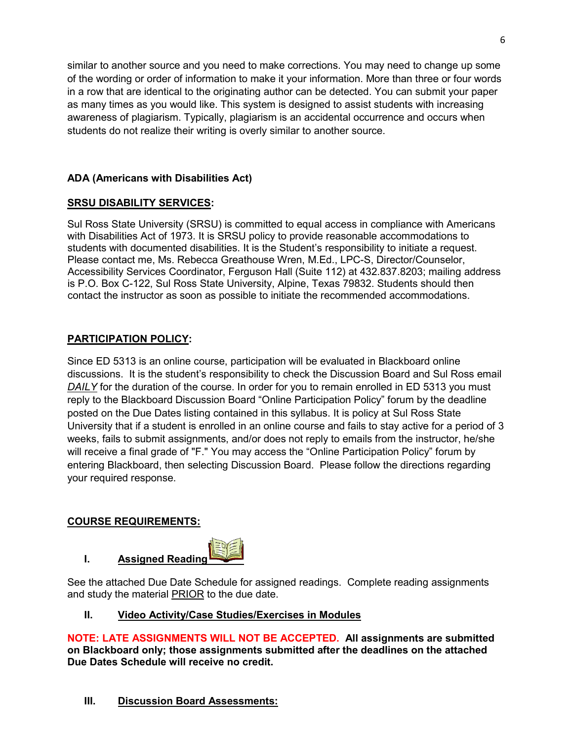similar to another source and you need to make corrections. You may need to change up some of the wording or order of information to make it your information. More than three or four words in a row that are identical to the originating author can be detected. You can submit your paper as many times as you would like. This system is designed to assist students with increasing awareness of plagiarism. Typically, plagiarism is an accidental occurrence and occurs when students do not realize their writing is overly similar to another source.

#### **ADA (Americans with Disabilities Act)**

#### **SRSU DISABILITY SERVICES:**

Sul Ross State University (SRSU) is committed to equal access in compliance with Americans with Disabilities Act of 1973. It is SRSU policy to provide reasonable accommodations to students with documented disabilities. It is the Student's responsibility to initiate a request. Please contact me, Ms. Rebecca Greathouse Wren, M.Ed., LPC-S, Director/Counselor, Accessibility Services Coordinator, Ferguson Hall (Suite 112) at 432.837.8203; mailing address is P.O. Box C-122, Sul Ross State University, Alpine, Texas 79832. Students should then contact the instructor as soon as possible to initiate the recommended accommodations.

#### **PARTICIPATION POLICY:**

Since ED 5313 is an online course, participation will be evaluated in Blackboard online discussions. It is the student's responsibility to check the Discussion Board and Sul Ross email *DAILY* for the duration of the course. In order for you to remain enrolled in ED 5313 you must reply to the Blackboard Discussion Board "Online Participation Policy" forum by the deadline posted on the Due Dates listing contained in this syllabus. It is policy at Sul Ross State University that if a student is enrolled in an online course and fails to stay active for a period of 3 weeks, fails to submit assignments, and/or does not reply to emails from the instructor, he/she will receive a final grade of "F." You may access the "Online Participation Policy" forum by entering Blackboard, then selecting Discussion Board. Please follow the directions regarding your required response.

#### **COURSE REQUIREMENTS:**



See the attached Due Date Schedule for assigned readings. Complete reading assignments and study the material PRIOR to the due date.

#### **II. Video Activity/Case Studies/Exercises in Modules**

**NOTE: LATE ASSIGNMENTS WILL NOT BE ACCEPTED. All assignments are submitted on Blackboard only; those assignments submitted after the deadlines on the attached Due Dates Schedule will receive no credit.**

## **III. Discussion Board Assessments:**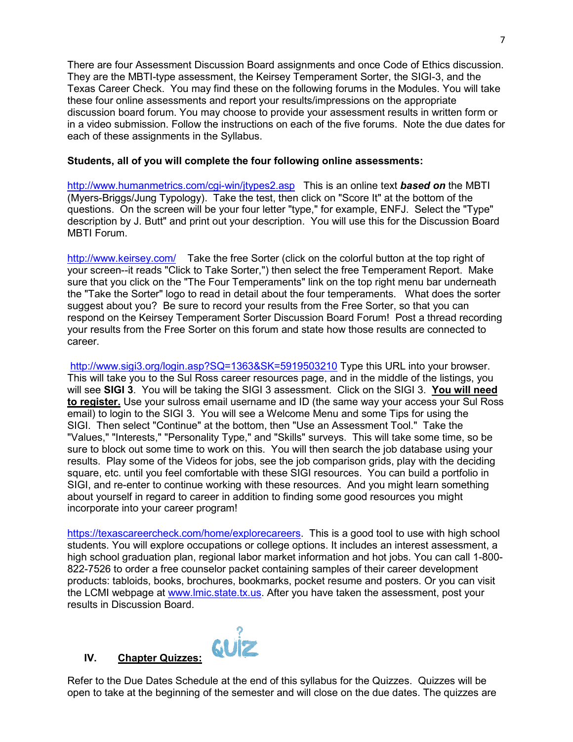There are four Assessment Discussion Board assignments and once Code of Ethics discussion. They are the MBTI-type assessment, the Keirsey Temperament Sorter, the SIGI-3, and the Texas Career Check. You may find these on the following forums in the Modules. You will take these four online assessments and report your results/impressions on the appropriate discussion board forum. You may choose to provide your assessment results in written form or in a video submission. Follow the instructions on each of the five forums. Note the due dates for each of these assignments in the Syllabus.

#### **Students, all of you will complete the four following online assessments:**

[http://www.humanmetrics.com/cgi-win/jtypes2.asp](http://www.humanmetrics.com/cgi-win/JTypes2.asp) This is an online text *based on* the MBTI (Myers-Briggs/Jung Typology). Take the test, then click on "Score It" at the bottom of the questions. On the screen will be your four letter "type," for example, ENFJ. Select the "Type" description by J. Butt" and print out your description. You will use this for the Discussion Board MBTI Forum.

<http://www.keirsey.com/>Take the free Sorter (click on the colorful button at the top right of your screen--it reads "Click to Take Sorter,") then select the free Temperament Report. Make sure that you click on the "The Four Temperaments" link on the top right menu bar underneath the "Take the Sorter" logo to read in detail about the four temperaments. What does the sorter suggest about you? Be sure to record your results from the Free Sorter, so that you can respond on the Keirsey Temperament Sorter Discussion Board Forum! Post a thread recording your results from the Free Sorter on this forum and state how those results are connected to career.

<http://www.sigi3.org/login.asp?SQ=1363&SK=5919503210> Type this URL into your browser. This will take you to the Sul Ross career resources page, and in the middle of the listings, you will see **SIGI 3**. You will be taking the SIGI 3 assessment. Click on the SIGI 3. **You will need to register.** Use your sulross email username and ID (the same way your access your Sul Ross email) to login to the SIGI 3. You will see a Welcome Menu and some Tips for using the SIGI. Then select "Continue" at the bottom, then "Use an Assessment Tool." Take the "Values," "Interests," "Personality Type," and "Skills" surveys. This will take some time, so be sure to block out some time to work on this. You will then search the job database using your results. Play some of the Videos for jobs, see the job comparison grids, play with the deciding square, etc. until you feel comfortable with these SIGI resources. You can build a portfolio in SIGI, and re-enter to continue working with these resources. And you might learn something about yourself in regard to career in addition to finding some good resources you might incorporate into your career program!

[https://texascareercheck.com/home/explorecareers.](https://texascareercheck.com/home/explorecareers) This is a good tool to use with high school students. You will explore occupations or college options. It includes an interest assessment, a high school graduation plan, regional labor market information and hot jobs. You can call 1-800- 822-7526 to order a free counselor packet containing samples of their career development products: tabloids, books, brochures, bookmarks, pocket resume and posters. Or you can visit the LCMI webpage at [www.lmic.state.tx.us.](http://www.lmic.state.tx.us/) After you have taken the assessment, post your results in Discussion Board.

Refer to the Due Dates Schedule at the end of this syllabus for the Quizzes. Quizzes will be open to take at the beginning of the semester and will close on the due dates. The quizzes are

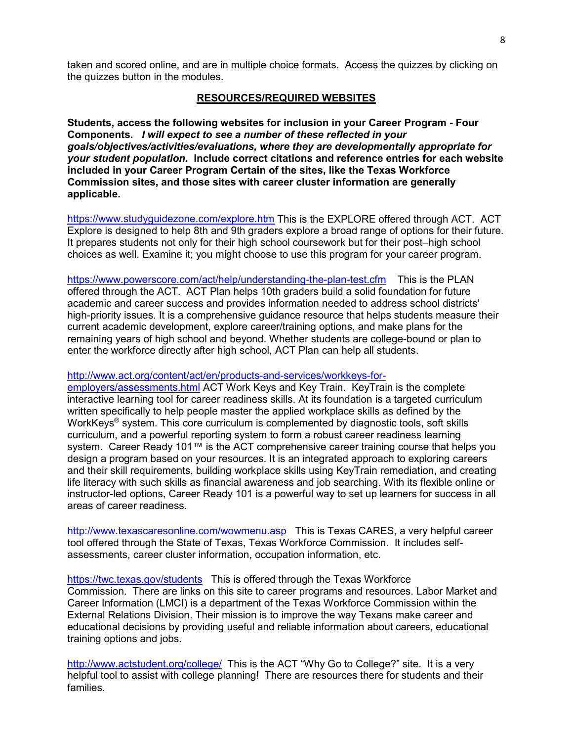taken and scored online, and are in multiple choice formats. Access the quizzes by clicking on the quizzes button in the modules.

#### **RESOURCES/REQUIRED WEBSITES**

**Students, access the following websites for inclusion in your Career Program - Four Components.** *I will expect to see a number of these reflected in your goals/objectives/activities/evaluations, where they are developmentally appropriate for your student population.* **Include correct citations and reference entries for each website included in your Career Program Certain of the sites, like the Texas Workforce Commission sites, and those sites with career cluster information are generally applicable.** 

<https://www.studyguidezone.com/explore.htm> This is the EXPLORE offered through ACT. ACT Explore is designed to help 8th and 9th graders explore a broad range of options for their future. It prepares students not only for their high school coursework but for their post–high school choices as well. Examine it; you might choose to use this program for your career program.

<https://www.powerscore.com/act/help/understanding-the-plan-test.cfm> This is the PLAN offered through the ACT. ACT Plan helps 10th graders build a solid foundation for future academic and career success and provides information needed to address school districts' high-priority issues. It is a comprehensive guidance resource that helps students measure their current academic development, explore career/training options, and make plans for the remaining years of high school and beyond. Whether students are college-bound or plan to enter the workforce directly after high school, ACT Plan can help all students.

#### [http://www.act.org/content/act/en/products-and-services/workkeys-for-](http://www.act.org/content/act/en/products-and-services/workkeys-for-employers/assessments.html)

[employers/assessments.html](http://www.act.org/content/act/en/products-and-services/workkeys-for-employers/assessments.html) ACT Work Keys and Key Train. KeyTrain is the complete interactive learning tool for career readiness skills. At its foundation is a targeted curriculum written specifically to help people master the applied workplace skills as defined by the WorkKeys<sup>®</sup> system. This core curriculum is complemented by diagnostic tools, soft skills curriculum, and a powerful reporting system to form a robust career readiness learning system. Career Ready 101™ is the ACT comprehensive career training course that helps you design a program based on your resources. It is an integrated approach to exploring careers and their skill requirements, building workplace skills using KeyTrain remediation, and creating life literacy with such skills as financial awareness and job searching. With its flexible online or instructor-led options, Career Ready 101 is a powerful way to set up learners for success in all areas of career readiness.

<http://www.texascaresonline.com/wowmenu.asp> This is Texas CARES, a very helpful career tool offered through the State of Texas, Texas Workforce Commission. It includes selfassessments, career cluster information, occupation information, etc.

<https://twc.texas.gov/students>This is offered through the Texas Workforce Commission. There are links on this site to career programs and resources. Labor Market and Career Information (LMCI) is a department of the Texas Workforce Commission within the External Relations Division. Their mission is to improve the way Texans make career and educational decisions by providing useful and reliable information about careers, educational training options and jobs.

<http://www.actstudent.org/college/>This is the ACT "Why Go to College?" site. It is a very helpful tool to assist with college planning! There are resources there for students and their families.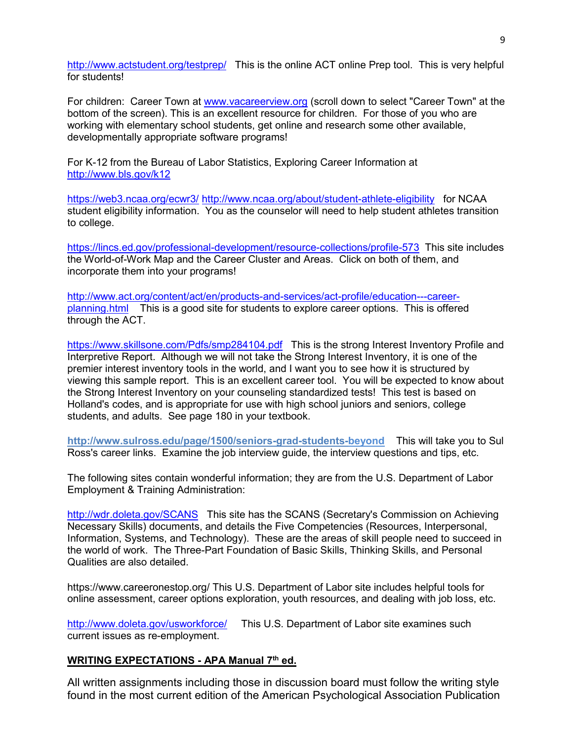<http://www.actstudent.org/testprep/> This is the online ACT online Prep tool. This is very helpful for students!

For children: Career Town at [www.vacareerview.org](http://www.vacareerview.org/) (scroll down to select "Career Town" at the bottom of the screen). This is an excellent resource for children. For those of you who are working with elementary school students, get online and research some other available, developmentally appropriate software programs!

For K-12 from the Bureau of Labor Statistics, Exploring Career Information at <http://www.bls.gov/k12>

<https://web3.ncaa.org/ecwr3/> <http://www.ncaa.org/about/student-athlete-eligibility>for NCAA student eligibility information. You as the counselor will need to help student athletes transition to college.

<https://lincs.ed.gov/professional-development/resource-collections/profile-573> This site includes the World-of-Work Map and the Career Cluster and Areas. Click on both of them, and incorporate them into your programs!

[http://www.act.org/content/act/en/products-and-services/act-profile/education---career](http://www.act.org/content/act/en/products-and-services/act-profile/education---career-planning.html)[planning.html](http://www.act.org/content/act/en/products-and-services/act-profile/education---career-planning.html) This is a good site for students to explore career options. This is offered through the ACT.

<https://www.skillsone.com/Pdfs/smp284104.pdf>This is the strong Interest Inventory Profile and Interpretive Report. Although we will not take the Strong Interest Inventory, it is one of the premier interest inventory tools in the world, and I want you to see how it is structured by viewing this sample report. This is an excellent career tool. You will be expected to know about the Strong Interest Inventory on your counseling standardized tests! This test is based on Holland's codes, and is appropriate for use with high school juniors and seniors, college students, and adults. See page 180 in your textbook.

**http://www.sulross.edu/page/1500/seniors-grad-students-beyond** This will take you to Sul Ross's career links. Examine the job interview guide, the interview questions and tips, etc.

The following sites contain wonderful information; they are from the U.S. Department of Labor Employment & Training Administration:

<http://wdr.doleta.gov/SCANS> This site has the SCANS (Secretary's Commission on Achieving Necessary Skills) documents, and details the Five Competencies (Resources, Interpersonal, Information, Systems, and Technology). These are the areas of skill people need to succeed in the world of work. The Three-Part Foundation of Basic Skills, Thinking Skills, and Personal Qualities are also detailed.

https://www.careeronestop.org/ This U.S. Department of Labor site includes helpful tools for online assessment, career options exploration, youth resources, and dealing with job loss, etc.

<http://www.doleta.gov/usworkforce/> This U.S. Department of Labor site examines such current issues as re-employment.

#### **WRITING EXPECTATIONS - APA Manual 7th ed.**

All written assignments including those in discussion board must follow the writing style found in the most current edition of the American Psychological Association Publication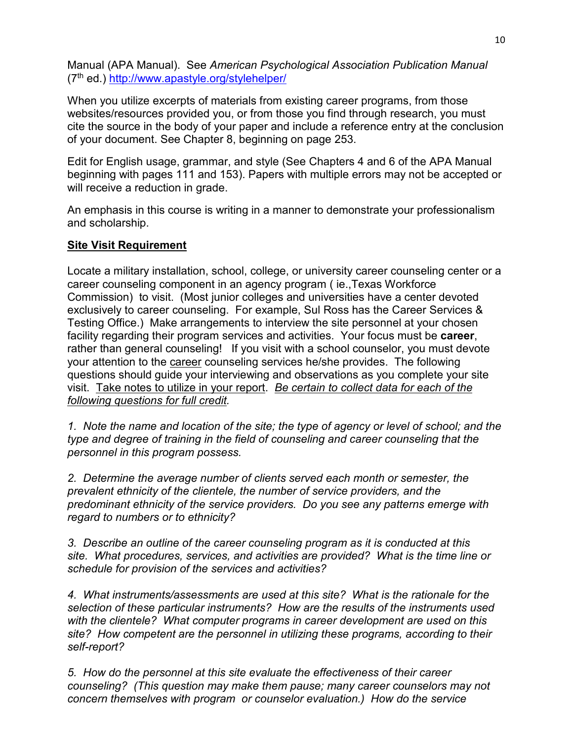Manual (APA Manual). See *American Psychological Association Publication Manual* (7th ed.)<http://www.apastyle.org/stylehelper/>

When you utilize excerpts of materials from existing career programs, from those websites/resources provided you, or from those you find through research, you must cite the source in the body of your paper and include a reference entry at the conclusion of your document. See Chapter 8, beginning on page 253.

Edit for English usage, grammar, and style (See Chapters 4 and 6 of the APA Manual beginning with pages 111 and 153). Papers with multiple errors may not be accepted or will receive a reduction in grade.

An emphasis in this course is writing in a manner to demonstrate your professionalism and scholarship.

#### **Site Visit Requirement**

Locate a military installation, school, college, or university career counseling center or a career counseling component in an agency program ( ie.,Texas Workforce Commission) to visit. (Most junior colleges and universities have a center devoted exclusively to career counseling. For example, Sul Ross has the Career Services & Testing Office.) Make arrangements to interview the site personnel at your chosen facility regarding their program services and activities. Your focus must be **career**, rather than general counseling! If you visit with a school counselor, you must devote your attention to the career counseling services he/she provides. The following questions should guide your interviewing and observations as you complete your site visit. Take notes to utilize in your report. *Be certain to collect data for each of the following questions for full credit.*

*1. Note the name and location of the site; the type of agency or level of school; and the type and degree of training in the field of counseling and career counseling that the personnel in this program possess.* 

*2. Determine the average number of clients served each month or semester, the prevalent ethnicity of the clientele, the number of service providers, and the predominant ethnicity of the service providers. Do you see any patterns emerge with regard to numbers or to ethnicity?* 

*3. Describe an outline of the career counseling program as it is conducted at this site. What procedures, services, and activities are provided? What is the time line or schedule for provision of the services and activities?* 

*4. What instruments/assessments are used at this site? What is the rationale for the selection of these particular instruments? How are the results of the instruments used with the clientele? What computer programs in career development are used on this site? How competent are the personnel in utilizing these programs, according to their self-report?* 

*5. How do the personnel at this site evaluate the effectiveness of their career counseling? (This question may make them pause; many career counselors may not concern themselves with program or counselor evaluation.) How do the service*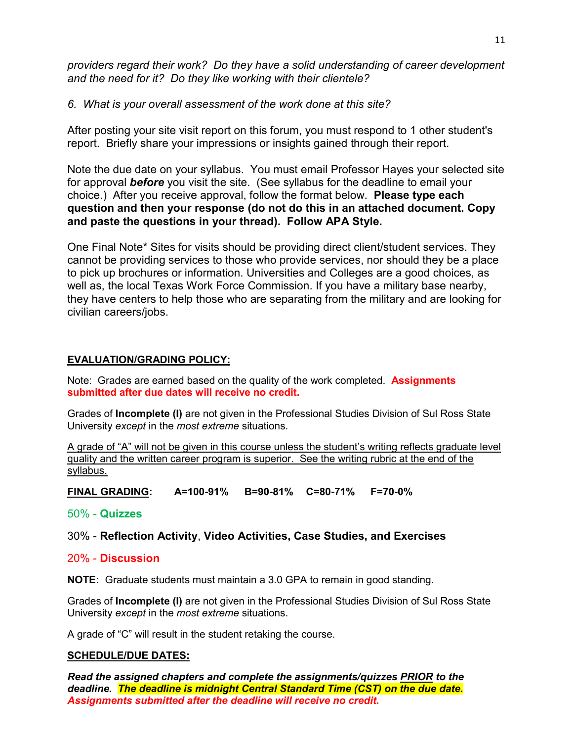*providers regard their work? Do they have a solid understanding of career development and the need for it? Do they like working with their clientele?* 

## *6. What is your overall assessment of the work done at this site?*

After posting your site visit report on this forum, you must respond to 1 other student's report. Briefly share your impressions or insights gained through their report.

Note the due date on your syllabus. You must email Professor Hayes your selected site for approval *before* you visit the site. (See syllabus for the deadline to email your choice.) After you receive approval, follow the format below. **Please type each question and then your response (do not do this in an attached document. Copy and paste the questions in your thread). Follow APA Style.**

One Final Note\* Sites for visits should be providing direct client/student services. They cannot be providing services to those who provide services, nor should they be a place to pick up brochures or information. Universities and Colleges are a good choices, as well as, the local Texas Work Force Commission. If you have a military base nearby, they have centers to help those who are separating from the military and are looking for civilian careers/jobs.

## **EVALUATION/GRADING POLICY:**

Note: Grades are earned based on the quality of the work completed. **Assignments submitted after due dates will receive no credit.**

Grades of **Incomplete (I)** are not given in the Professional Studies Division of Sul Ross State University *except* in the *most extreme* situations.

A grade of "A" will not be given in this course unless the student's writing reflects graduate level quality and the written career program is superior. See the writing rubric at the end of the syllabus.

**FINAL GRADING: A=100-91% B=90-81% C=80-71% F=70-0%**

50% - **Quizzes**

## 30% - **Reflection Activity**, **Video Activities, Case Studies, and Exercises**

## 20% - **Discussion**

**NOTE:** Graduate students must maintain a 3.0 GPA to remain in good standing.

Grades of **Incomplete (I)** are not given in the Professional Studies Division of Sul Ross State University *except* in the *most extreme* situations.

A grade of "C" will result in the student retaking the course.

#### **SCHEDULE/DUE DATES:**

*Read the assigned chapters and complete the assignments/quizzes PRIOR to the deadline. The deadline is midnight Central Standard Time (CST) on the due date. Assignments submitted after the deadline will receive no credit.*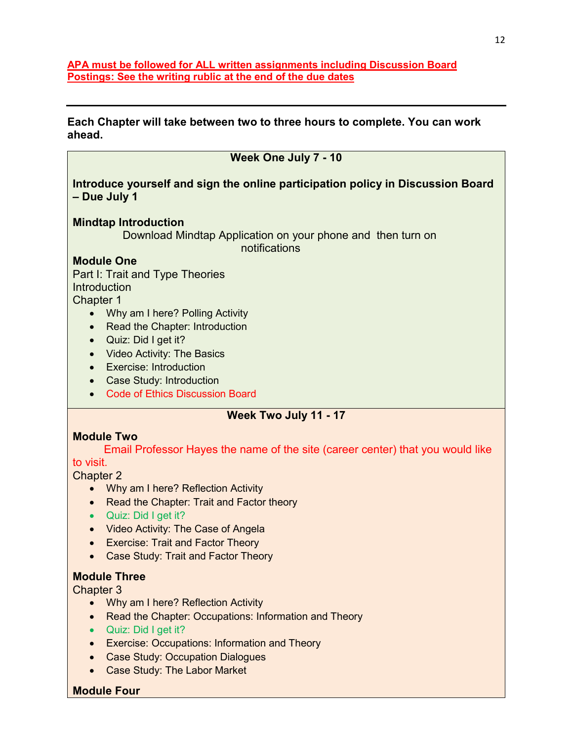**APA must be followed for ALL written assignments including Discussion Board Postings: See the writing rublic at the end of the due dates**

**Each Chapter will take between two to three hours to complete. You can work ahead.**

| Week One July 7 - 10                                                                            |  |  |  |  |
|-------------------------------------------------------------------------------------------------|--|--|--|--|
| Introduce yourself and sign the online participation policy in Discussion Board<br>- Due July 1 |  |  |  |  |
| <b>Mindtap Introduction</b>                                                                     |  |  |  |  |
| Download Mindtap Application on your phone and then turn on<br>notifications                    |  |  |  |  |
| <b>Module One</b>                                                                               |  |  |  |  |
| Part I: Trait and Type Theories                                                                 |  |  |  |  |
| <b>Introduction</b>                                                                             |  |  |  |  |
| Chapter 1                                                                                       |  |  |  |  |
| Why am I here? Polling Activity                                                                 |  |  |  |  |
| Read the Chapter: Introduction                                                                  |  |  |  |  |
| Quiz: Did I get it?<br>$\bullet$                                                                |  |  |  |  |
| <b>Video Activity: The Basics</b><br>$\bullet$                                                  |  |  |  |  |
| <b>Exercise: Introduction</b><br>$\bullet$                                                      |  |  |  |  |
| <b>Case Study: Introduction</b><br>$\bullet$                                                    |  |  |  |  |
| <b>Code of Ethics Discussion Board</b><br>$\bullet$                                             |  |  |  |  |
| Week Two July 11 - 17                                                                           |  |  |  |  |
| <b>Module Two</b>                                                                               |  |  |  |  |
| Email Professor Hayes the name of the site (career center) that you would like                  |  |  |  |  |
| to visit.                                                                                       |  |  |  |  |
| <b>Chapter 2</b>                                                                                |  |  |  |  |
| Why am I here? Reflection Activity                                                              |  |  |  |  |
| Read the Chapter: Trait and Factor theory<br>$\bullet$                                          |  |  |  |  |
| Quiz: Did I get it?                                                                             |  |  |  |  |
| Video Activity: The Case of Angela                                                              |  |  |  |  |

- Video Activity: The Case of Angela
- Exercise: Trait and Factor Theory
- Case Study: Trait and Factor Theory

## **Module Three**

Chapter 3

- Why am I here? Reflection Activity
- Read the Chapter: Occupations: Information and Theory
- Quiz: Did I get it?
- Exercise: Occupations: Information and Theory
- Case Study: Occupation Dialogues
- Case Study: The Labor Market

## **Module Four**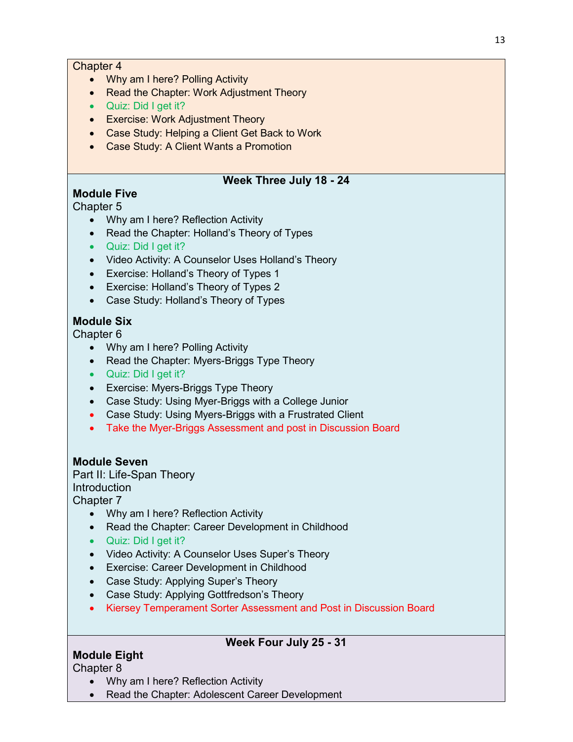#### Chapter 4

- Why am I here? Polling Activity
- Read the Chapter: Work Adjustment Theory
- Quiz: Did I get it?
- Exercise: Work Adjustment Theory
- Case Study: Helping a Client Get Back to Work
- Case Study: A Client Wants a Promotion

#### **Week Three July 18 - 24**

## **Module Five**

## Chapter 5

- Why am I here? Reflection Activity
- Read the Chapter: Holland's Theory of Types
- Quiz: Did I get it?
- Video Activity: A Counselor Uses Holland's Theory
- Exercise: Holland's Theory of Types 1
- Exercise: Holland's Theory of Types 2
- Case Study: Holland's Theory of Types

## **Module Six**

Chapter 6

- Why am I here? Polling Activity
- Read the Chapter: Myers-Briggs Type Theory
- Quiz: Did I get it?
- Exercise: Myers-Briggs Type Theory
- Case Study: Using Myer-Briggs with a College Junior
- Case Study: Using Myers-Briggs with a Frustrated Client
- Take the Myer-Briggs Assessment and post in Discussion Board

## **Module Seven**

Part II: Life-Span Theory **Introduction** Chapter 7

- Why am I here? Reflection Activity
- Read the Chapter: Career Development in Childhood
- Quiz: Did I get it?
- Video Activity: A Counselor Uses Super's Theory
- Exercise: Career Development in Childhood
- Case Study: Applying Super's Theory
- Case Study: Applying Gottfredson's Theory
- Kiersey Temperament Sorter Assessment and Post in Discussion Board

## **Week Four July 25 - 31**

# **Module Eight**

Chapter 8

- Why am I here? Reflection Activity
- Read the Chapter: Adolescent Career Development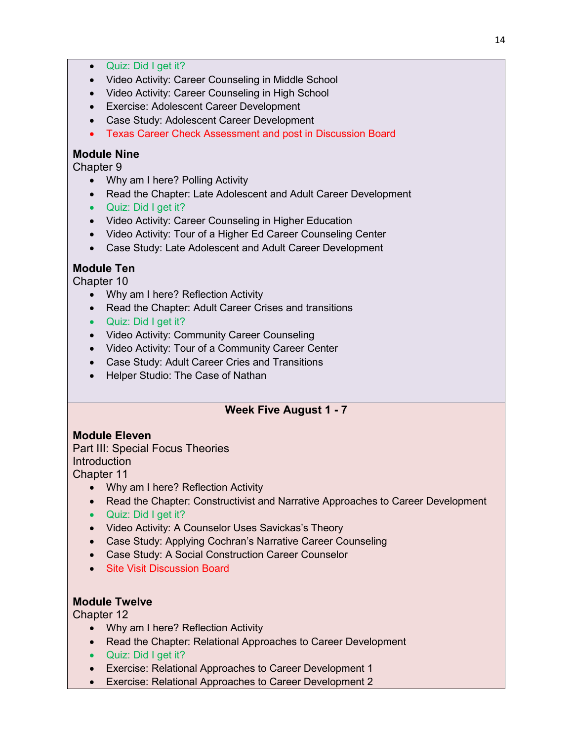- Quiz: Did I get it?
- Video Activity: Career Counseling in Middle School
- Video Activity: Career Counseling in High School
- Exercise: Adolescent Career Development
- Case Study: Adolescent Career Development
- Texas Career Check Assessment and post in Discussion Board

#### **Module Nine**

Chapter 9

- Why am I here? Polling Activity
- Read the Chapter: Late Adolescent and Adult Career Development
- Quiz: Did I get it?
- Video Activity: Career Counseling in Higher Education
- Video Activity: Tour of a Higher Ed Career Counseling Center
- Case Study: Late Adolescent and Adult Career Development

## **Module Ten**

Chapter 10

- Why am I here? Reflection Activity
- Read the Chapter: Adult Career Crises and transitions
- Quiz: Did I get it?
- Video Activity: Community Career Counseling
- Video Activity: Tour of a Community Career Center
- Case Study: Adult Career Cries and Transitions
- Helper Studio: The Case of Nathan

# **Week Five August 1 - 7**

## **Module Eleven**

Part III: Special Focus Theories **Introduction** Chapter 11

- Why am I here? Reflection Activity
- Read the Chapter: Constructivist and Narrative Approaches to Career Development
- Quiz: Did I get it?
- Video Activity: A Counselor Uses Savickas's Theory
- Case Study: Applying Cochran's Narrative Career Counseling
- Case Study: A Social Construction Career Counselor
- Site Visit Discussion Board

## **Module Twelve**

Chapter 12

- Why am I here? Reflection Activity
- Read the Chapter: Relational Approaches to Career Development
- Quiz: Did I get it?
- Exercise: Relational Approaches to Career Development 1
- Exercise: Relational Approaches to Career Development 2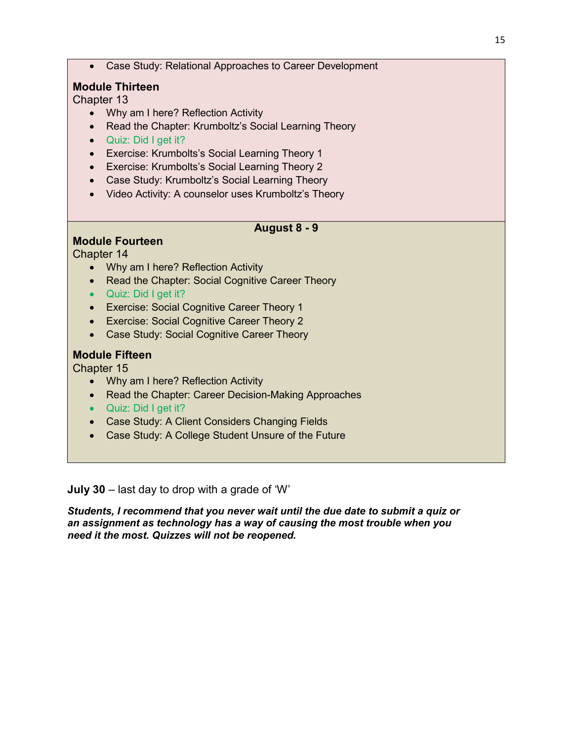• Case Study: Relational Approaches to Career Development

#### **Module Thirteen**

Chapter 13

- Why am I here? Reflection Activity
- Read the Chapter: Krumboltz's Social Learning Theory
- Quiz: Did I get it?
- Exercise: Krumbolts's Social Learning Theory 1
- Exercise: Krumbolts's Social Learning Theory 2
- Case Study: Krumboltz's Social Learning Theory
- Video Activity: A counselor uses Krumboltz's Theory

#### **August 8 - 9**

#### **Module Fourteen**

Chapter 14

- Why am I here? Reflection Activity
- Read the Chapter: Social Cognitive Career Theory
- Quiz: Did I get it?
- Exercise: Social Cognitive Career Theory 1
- Exercise: Social Cognitive Career Theory 2
- Case Study: Social Cognitive Career Theory

#### **Module Fifteen**

Chapter 15

- Why am I here? Reflection Activity
- Read the Chapter: Career Decision-Making Approaches
- Quiz: Did I get it?
- Case Study: A Client Considers Changing Fields
- Case Study: A College Student Unsure of the Future

**July 30** – last day to drop with a grade of 'W'

*Students, I recommend that you never wait until the due date to submit a quiz or an assignment as technology has a way of causing the most trouble when you need it the most. Quizzes will not be reopened.*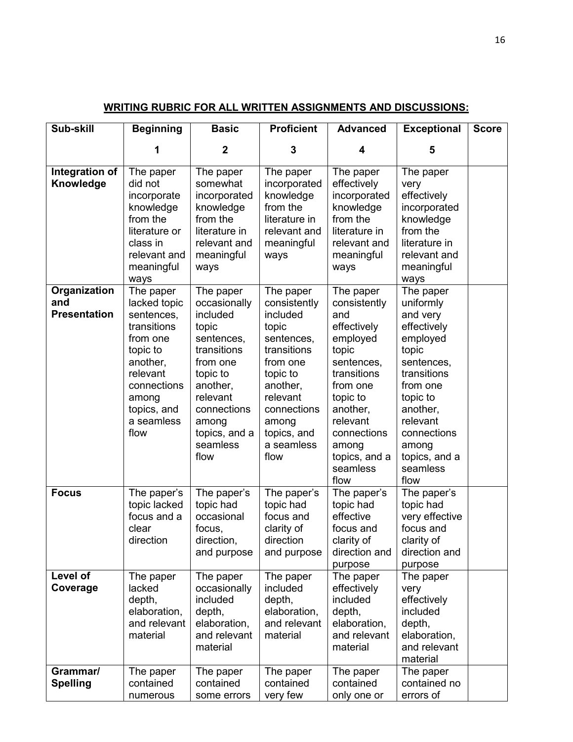| Sub-skill                                  | <b>Beginning</b>                                                                                                                                                    | <b>Basic</b>                                                                                                                                                                             | <b>Proficient</b>                                                                                                                                                                        | <b>Advanced</b>                                                                                                                                                                                                | <b>Exceptional</b>                                                                                                                                                                                               | <b>Score</b> |
|--------------------------------------------|---------------------------------------------------------------------------------------------------------------------------------------------------------------------|------------------------------------------------------------------------------------------------------------------------------------------------------------------------------------------|------------------------------------------------------------------------------------------------------------------------------------------------------------------------------------------|----------------------------------------------------------------------------------------------------------------------------------------------------------------------------------------------------------------|------------------------------------------------------------------------------------------------------------------------------------------------------------------------------------------------------------------|--------------|
|                                            | 1                                                                                                                                                                   | $\mathbf 2$                                                                                                                                                                              | 3                                                                                                                                                                                        | 4                                                                                                                                                                                                              | 5                                                                                                                                                                                                                |              |
| Integration of<br>Knowledge                | The paper<br>did not<br>incorporate<br>knowledge<br>from the<br>literature or<br>class in<br>relevant and<br>meaningful<br>ways                                     | The paper<br>somewhat<br>incorporated<br>knowledge<br>from the<br>literature in<br>relevant and<br>meaningful<br>ways                                                                    | The paper<br>incorporated<br>knowledge<br>from the<br>literature in<br>relevant and<br>meaningful<br>ways                                                                                | The paper<br>effectively<br>incorporated<br>knowledge<br>from the<br>literature in<br>relevant and<br>meaningful<br>ways                                                                                       | The paper<br>very<br>effectively<br>incorporated<br>knowledge<br>from the<br>literature in<br>relevant and<br>meaningful<br>ways                                                                                 |              |
| Organization<br>and<br><b>Presentation</b> | The paper<br>lacked topic<br>sentences,<br>transitions<br>from one<br>topic to<br>another,<br>relevant<br>connections<br>among<br>topics, and<br>a seamless<br>flow | The paper<br>occasionally<br>included<br>topic<br>sentences,<br>transitions<br>from one<br>topic to<br>another,<br>relevant<br>connections<br>among<br>topics, and a<br>seamless<br>flow | The paper<br>consistently<br>included<br>topic<br>sentences,<br>transitions<br>from one<br>topic to<br>another,<br>relevant<br>connections<br>among<br>topics, and<br>a seamless<br>flow | The paper<br>consistently<br>and<br>effectively<br>employed<br>topic<br>sentences,<br>transitions<br>from one<br>topic to<br>another,<br>relevant<br>connections<br>among<br>topics, and a<br>seamless<br>flow | The paper<br>uniformly<br>and very<br>effectively<br>employed<br>topic<br>sentences,<br>transitions<br>from one<br>topic to<br>another,<br>relevant<br>connections<br>among<br>topics, and a<br>seamless<br>flow |              |
| <b>Focus</b><br>Level of<br>Coverage       | The paper's<br>topic lacked<br>focus and a<br>clear<br>direction<br>The paper<br>lacked                                                                             | The paper's<br>topic had<br>occasional<br>focus,<br>direction,<br>and purpose<br>The paper<br>occasionally                                                                               | The paper's<br>topic had<br>focus and<br>clarity of<br>direction<br>and purpose<br>The paper<br>included                                                                                 | The paper's<br>topic had<br>effective<br>focus and<br>clarity of<br>direction and<br>purpose<br>The paper<br>effectively                                                                                       | The paper's<br>topic had<br>very effective<br>focus and<br>clarity of<br>direction and<br>purpose<br>The paper<br>very                                                                                           |              |
| Grammar/<br><b>Spelling</b>                | depth,<br>elaboration,<br>and relevant<br>material<br>The paper<br>contained                                                                                        | included<br>depth,<br>elaboration,<br>and relevant<br>material<br>The paper<br>contained                                                                                                 | depth,<br>elaboration,<br>and relevant<br>material<br>The paper<br>contained                                                                                                             | included<br>depth,<br>elaboration,<br>and relevant<br>material<br>The paper<br>contained                                                                                                                       | effectively<br>included<br>depth,<br>elaboration,<br>and relevant<br>material<br>The paper<br>contained no                                                                                                       |              |
|                                            | numerous                                                                                                                                                            | some errors                                                                                                                                                                              | very few                                                                                                                                                                                 | only one or                                                                                                                                                                                                    | errors of                                                                                                                                                                                                        |              |

# **WRITING RUBRIC FOR ALL WRITTEN ASSIGNMENTS AND DISCUSSIONS:**